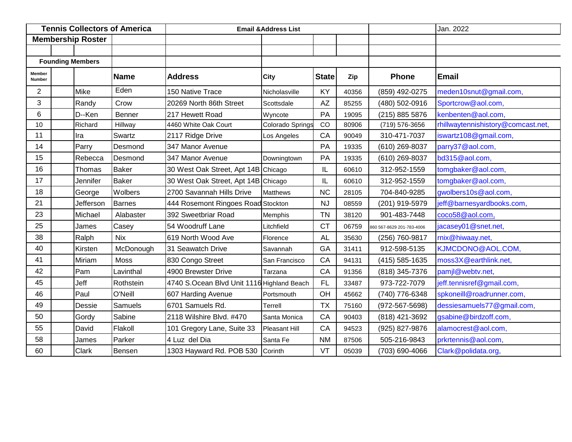| <b>Tennis Collectors of America</b> |                          |              | <b>Email &amp; Address List</b>            |                  |              |       | Jan. 2022                 |                                    |
|-------------------------------------|--------------------------|--------------|--------------------------------------------|------------------|--------------|-------|---------------------------|------------------------------------|
|                                     | <b>Membership Roster</b> |              |                                            |                  |              |       |                           |                                    |
|                                     |                          |              |                                            |                  |              |       |                           |                                    |
|                                     | <b>Founding Members</b>  |              |                                            |                  |              |       |                           |                                    |
| Member<br>Number                    |                          | <b>Name</b>  | <b>Address</b>                             | <b>City</b>      | <b>State</b> | Zip   | <b>Phone</b>              | <b>Email</b>                       |
| $\overline{2}$                      | <b>Mike</b>              | Eden         | 150 Native Trace                           | Nicholasville    | KY           | 40356 | (859) 492-0275            | meden10snut@gmail.com,             |
| 3                                   | Randy                    | Crow         | 20269 North 86th Street                    | Scottsdale       | <b>AZ</b>    | 85255 | (480) 502-0916            | Sportcrow@aol.com,                 |
| 6                                   | D--Ken                   | Benner       | 217 Hewett Road                            | Wyncote          | PA           | 19095 | (215) 885 5876            | kenbenten@aol.com,                 |
| 10                                  | Richard                  | Hillway      | 4460 White Oak Court                       | Colorado Springs | CO           | 80906 | (719) 576-3656            | rhillwaytennishistory@comcast.net, |
| 11                                  | Ira                      | Swartz       | 2117 Ridge Drive                           | Los Angeles      | CA           | 90049 | 310-471-7037              | iswartz108@gmail.com,              |
| 14                                  | Parry                    | Desmond      | 347 Manor Avenue                           |                  | PA           | 19335 | (610) 269-8037            | parry37@aol.com,                   |
| 15                                  | Rebecca                  | Desmond      | 347 Manor Avenue                           | Downingtown      | PA           | 19335 | (610) 269-8037            | bd315@aol.com,                     |
| 16                                  | Thomas                   | <b>Baker</b> | 30 West Oak Street, Apt 14B Chicago        |                  | IL           | 60610 | 312-952-1559              | tomgbaker@aol.com,                 |
| 17                                  | Jennifer                 | <b>Baker</b> | 30 West Oak Street, Apt 14B Chicago        |                  | IL           | 60610 | 312-952-1559              | tomgbaker@aol.com,                 |
| 18                                  | George                   | Wolbers      | 2700 Savannah Hills Drive                  | <b>Matthews</b>  | <b>NC</b>    | 28105 | 704-840-9285              | gwolbers10s@aol.com,               |
| 21                                  | Jefferson                | Barnes       | 444 Rosemont Ringoes Road Stockton         |                  | <b>NJ</b>    | 08559 | (201) 919-5979            | jeff@barnesyardbooks.com,          |
| 23                                  | Michael                  | Alabaster    | 392 Sweetbriar Road                        | Memphis          | <b>TN</b>    | 38120 | 901-483-7448              | coco58@aol.com,                    |
| 25                                  | James                    | Casey        | 54 Woodruff Lane                           | Litchfield       | <b>CT</b>    | 06759 | 860 567-8629 201-783-4006 | jacasey01@snet.net,                |
| 38                                  | Ralph                    | <b>Nix</b>   | 619 North Wood Ave                         | Florence         | <b>AL</b>    | 35630 | (256) 760-9817            | rnix@hiwaay.net,                   |
| 40                                  | Kirsten                  | McDonough    | 31 Seawatch Drive                          | Savannah         | GA           | 31411 | 912-598-5135              | KJMCDONO@AOL.COM,                  |
| 41                                  | Miriam                   | <b>Moss</b>  | 830 Congo Street                           | San Francisco    | CA           | 94131 | (415) 585-1635            | moss3X@earthlink.net,              |
| 42                                  | Pam                      | Lavinthal    | 4900 Brewster Drive                        | Tarzana          | CA           | 91356 | (818) 345-7376            | pamjl@webtv.net,                   |
| 45                                  | Jeff                     | Rothstein    | 4740 S.Ocean Blvd Unit 1116 Highland Beach |                  | <b>FL</b>    | 33487 | 973-722-7079              | jeff.tennisref@gmail.com,          |
| 46                                  | Paul                     | O'Neill      | 607 Harding Avenue                         | Portsmouth       | OH           | 45662 | (740) 776-6348            | spkoneill@roadrunner.com,          |
| 49                                  | Dessie                   | Samuels      | 6701 Samuels Rd.                           | Terrell          | <b>TX</b>    | 75160 | (972-567-5698)            | dessiesamuels77@gmail.com,         |
| 50                                  | Gordy                    | Sabine       | 2118 Wilshire Blvd. #470                   | Santa Monica     | CA           | 90403 | (818) 421-3692            | gsabine@birdzoff.com,              |
| 55                                  | David                    | Flakoll      | 101 Gregory Lane, Suite 33                 | Pleasant Hill    | CA           | 94523 | (925) 827-9876            | alamocrest@aol.com,                |
| 58                                  | James                    | Parker       | 4 Luz del Dia                              | Santa Fe         | <b>NM</b>    | 87506 | 505-216-9843              | prkrtennis@aol.com,                |
| 60                                  | Clark                    | Bensen       | 1303 Hayward Rd. POB 530                   | Corinth          | VT           | 05039 | (703) 690-4066            | Clark@polidata.org,                |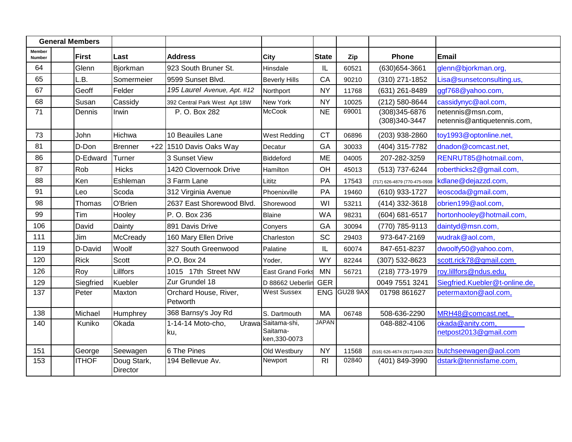| <b>General Members</b>  |              |                         |                                   |                                                 |                |              |                                  |                                                  |
|-------------------------|--------------|-------------------------|-----------------------------------|-------------------------------------------------|----------------|--------------|----------------------------------|--------------------------------------------------|
| <b>Member</b><br>Number | <b>First</b> | Last                    | <b>Address</b>                    | <b>City</b>                                     | <b>State</b>   | Zip          | <b>Phone</b>                     | <b>Email</b>                                     |
| 64                      | Glenn        | Bjorkman                | 923 South Bruner St.              | Hinsdale                                        | IL             | 60521        | (630) 654-3661                   | glenn@bjorkman.org,                              |
| 65                      | L.B.         | Somermeier              | 9599 Sunset Blvd.                 | <b>Beverly Hills</b>                            | CA             | 90210        | (310) 271-1852                   | Lisa@sunsetconsulting.us,                        |
| 67                      | Geoff        | Felder                  | 195 Laurel Avenue, Apt. #12       | Northport                                       | <b>NY</b>      | 11768        | (631) 261-8489                   | ggf768@yahoo.com,                                |
| 68                      | Susan        | Cassidy                 | 392 Central Park West Apt 18W     | New York                                        | <b>NY</b>      | 10025        | (212) 580-8644                   | cassidynyc@aol.com,                              |
| 71                      | Dennis       | Irwin                   | P. O. Box 282                     | McCook                                          | <b>NE</b>      | 69001        | (308) 345-6876<br>(308) 340-3447 | netennis@msn.com,<br>netennis@antiquetennis.com, |
| 73                      | John         | Hichwa                  | 10 Beauiles Lane                  | <b>West Redding</b>                             | <b>CT</b>      | 06896        | (203) 938-2860                   | toy1993@optonline.net,                           |
| 81                      | D-Don        | Brenner                 | +22 1510 Davis Oaks Way           | Decatur                                         | GA             | 30033        | (404) 315-7782                   | dnadon@comcast.net,                              |
| 86                      | D-Edward     | Turner                  | 3 Sunset View                     | Biddeford                                       | <b>ME</b>      | 04005        | 207-282-3259                     | RENRUT85@hotmail.com,                            |
| 87                      | Rob          | Hicks                   | 1420 Clovernook Drive             | Hamilton                                        | OH             | 45013        | (513) 737-6244                   | roberthicks2@gmail.com,                          |
| 88                      | Ken          | Eshleman                | 3 Farm Lane                       | Lititz                                          | PA             | 17543        | (717) 626-4879 (770-475-0938     | kdlane@dejazzd.com,                              |
| 91                      | Leo          | Scoda                   | 312 Virginia Avenue               | Phoenixville                                    | PA             | 19460        | (610) 933-1727                   | leoscoda@gmail.com,                              |
| 98                      | Thomas       | O'Brien                 | 2637 East Shorewood Blvd.         | Shorewood                                       | WI             | 53211        | (414) 332-3618                   | obrien199@aol.com,                               |
| 99                      | Tim          | Hooley                  | P. O. Box 236                     | Blaine                                          | <b>WA</b>      | 98231        | (604) 681-6517                   | hortonhooley@hotmail.com,                        |
| 106                     | David        | Dainty                  | 891 Davis Drive                   | Conyers                                         | GA             | 30094        | (770) 785-9113                   | daintyd@msn.com,                                 |
| 111                     | Jim          | <b>McCready</b>         | 160 Mary Ellen Drive              | Charleston                                      | SC             | 29403        | 973-647-2169                     | wudrak@aol.com,                                  |
| 119                     | D-David      | Woolf                   | 327 South Greenwood               | Palatine                                        | IL             | 60074        | 847-651-8237                     | dwoolfy50@yahoo.com,                             |
| 120                     | <b>Rick</b>  | Scott                   | P.O. Box 24                       | Yoder,                                          | <b>WY</b>      | 82244        | (307) 532-8623                   | scott.rick78@gmail.com                           |
| 126                     | Roy          | Lillfors                | 1015 17th Street NW               | <b>East Grand Forks</b>                         | <b>MN</b>      | 56721        | (218) 773-1979                   | roy.lillfors@ndus.edu,                           |
| 129                     | Siegfried    | Kuebler                 | Zur Grundel 18                    | D 88662 Ueberlin                                | <b>GER</b>     |              | 0049 7551 3241                   | Siegfried.Kuebler@t-online.de,                   |
| 137                     | Peter        | Maxton                  | Orchard House, River,<br>Petworth | <b>West Sussex</b>                              |                | ENG GU28 9AX | 01798 861627                     | petermaxton@aol.com,                             |
| 138                     | Michael      | Humphrey                | 368 Barnsy's Joy Rd               | S. Dartmouth                                    | <b>MA</b>      | 06748        | 508-636-2290                     | MRH48@comcast.net,                               |
| 140                     | Kuniko       | Okada                   | 1-14-14 Moto-cho,<br>ku,          | Urawa Saitama-shi,<br>Saitama-<br>ken, 330-0073 | <b>JAPAN</b>   |              | 048-882-4106                     | okada@anity.com,<br>netpost2013@gmail.com        |
| 151                     | George       | Seewagen                | 6 The Pines                       | Old Westbury                                    | <b>NY</b>      | 11568        | (516) 626-4674 (917})449-2023    | butchseewagen@aol.com                            |
| 153                     | <b>ITHOF</b> | Doug Stark,<br>Director | 194 Bellevue Av.                  | Newport                                         | R <sub>l</sub> | 02840        | (401) 849-3990                   | dstark@tennisfame.com,                           |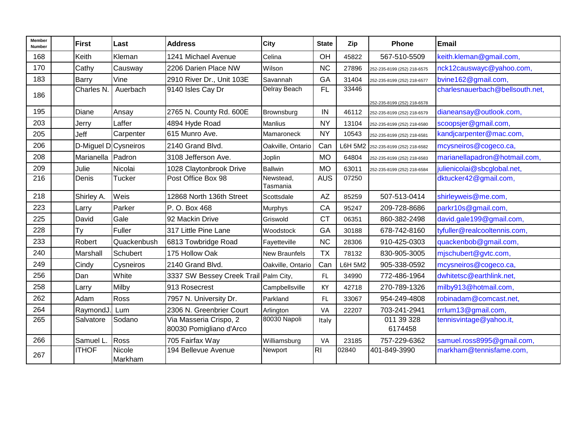| Member<br><b>Number</b> | First               | Last              | <b>Address</b>                                    | <b>City</b>           | <b>State</b>           | Zip            | Phone                       | Email                           |
|-------------------------|---------------------|-------------------|---------------------------------------------------|-----------------------|------------------------|----------------|-----------------------------|---------------------------------|
| 168                     | Keith               | Kleman            | 1241 Michael Avenue                               | Celina                | OH                     | 45822          | 567-510-5509                | keith.kleman@gmail.com,         |
| 170                     | Cathy               | Causway           | 2206 Darien Place NW                              | Wilson                | <b>NC</b>              | 27896          | 252-235-8199 (252) 218-6575 | nck12causwayc@yahoo.com,        |
| 183                     | Barry               | Vine              | 2910 River Dr., Unit 103E                         | Savannah              | GA                     | 31404          | 252-235-8199 (252) 218-6577 | bvine162@gmail.com,             |
| 186                     | Charles N.          | Auerbach          | 9140 Isles Cay Dr                                 | Delray Beach          | <b>FL</b>              | 33446          | 252-235-8199 (252) 218-6578 | charlesnauerbach@bellsouth.net, |
| 195                     | Diane               | Ansay             | 2765 N. County Rd. 600E                           | Brownsburg            | IN                     | 46112          | 252-235-8199 (252) 218-6579 | dianeansay@outlook.com,         |
| 203                     | Jerry               | Laffer            | 4894 Hyde Road                                    | <b>Manlius</b>        | <b>NY</b>              | 13104          | 252-235-8199 (252) 218-6580 | scoopsjer@gmail.com,            |
| 205                     | Jeff                | Carpenter         | 615 Munro Ave.                                    | Mamaroneck            | <b>NY</b>              | 10543          | 252-235-8199 (252) 218-6581 | kandjcarpenter@mac.com,         |
| 206                     | D-Miguel DCysneiros |                   | 2140 Grand Blvd.                                  | Oakville, Ontario     | Can                    | <b>L6H 5M2</b> | 252-235-8199 (252) 218-6582 | mcysneiros@cogeco.ca,           |
| 208                     | Marianella Padron   |                   | 3108 Jefferson Ave.                               | Joplin                | <b>MO</b>              | 64804          | 252-235-8199 (252) 218-6583 | marianellapadron@hotmail.com,   |
| 209                     | Julie               | Nicolai           | 1028 Claytonbrook Drive                           | <b>Ballwin</b>        | <b>MO</b>              | 63011          | 252-235-8199 (252) 218-6584 | julienicolai@sbcglobal.net,     |
| 216                     | Denis               | <b>Tucker</b>     | Post Office Box 98                                | Newstead,<br>Tasmania | <b>AUS</b>             | 07250          |                             | dktucker42@gmail.com,           |
| 218                     | Shirley A.          | Weis              | 12868 North 136th Street                          | Scottsdale            | $\mathsf{A}\mathsf{Z}$ | 85259          | 507-513-0414                | shirleyweis@me.com,             |
| 223                     | Larry               | Parker            | P. O. Box 468                                     | <b>Murphys</b>        | CA                     | 95247          | 209-728-8686                | parkr10s@gmail.com,             |
| 225                     | David               | Gale              | 92 Mackin Drive                                   | Griswold              | <b>CT</b>              | 06351          | 860-382-2498                | david.gale199@gmail.com,        |
| 228                     | Ty                  | <b>Fuller</b>     | 317 Little Pine Lane                              | Woodstock             | GA                     | 30188          | 678-742-8160                | tyfuller@realcooltennis.com,    |
| 233                     | Robert              | Quackenbush       | 6813 Towbridge Road                               | Fayetteville          | <b>NC</b>              | 28306          | 910-425-0303                | quackenbob@gmail.com,           |
| 240                     | Marshall            | Schubert          | 175 Hollow Oak                                    | <b>New Braunfels</b>  | <b>TX</b>              | 78132          | 830-905-3005                | mjschubert@gvtc.com,            |
| 249                     | Cindy               | Cysneiros         | 2140 Grand Blvd.                                  | Oakville, Ontario     | Can                    | <b>L6H 5M2</b> | 905-338-0592                | mcysneiros@cogeco.ca,           |
| 256                     | Dan                 | White             | 3337 SW Bessey Creek Trail Palm City,             |                       | FL.                    | 34990          | 772-486-1964                | dwhitetsc@earthlink.net,        |
| 258                     | Larry               | Milby             | 913 Rosecrest                                     | Campbellsville        | KY                     | 42718          | 270-789-1326                | milby913@hotmail.com,           |
| 262                     | Adam                | Ross              | 7957 N. University Dr.                            | Parkland              | <b>FL</b>              | 33067          | 954-249-4808                | robinadam@comcast.net,          |
| 264                     | RaymondJ.           | Lum               | 2306 N. Greenbrier Court                          | Arlington             | VA                     | 22207          | 703-241-2941                | rrrlum13@gmail.com,             |
| 265                     | Salvatore           | Sodano            | Via Masseria Crispo, 2<br>80030 Pomigliano d'Arco | 80030 Napoli          | Italy                  |                | 011 39 328<br>6174458       | tennisvintage@yahoo.it,         |
| 266                     | Samuel L.           | Ross              | 705 Fairfax Way                                   | Williamsburg          | VA                     | 23185          | 757-229-6362                | samuel.ross8995@gmail.com,      |
| 267                     | <b>ITHOF</b>        | Nicole<br>Markham | 194 Bellevue Avenue                               | Newport               | R <sub>l</sub>         | 02840          | 401-849-3990                | markham@tennisfame.com,         |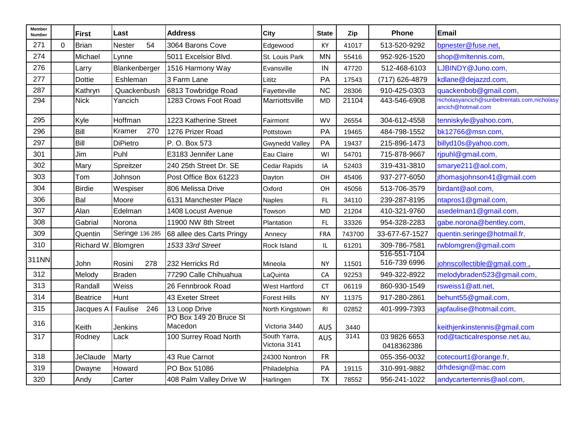| Member<br>Number |          | <b>First</b>     | Last            | <b>Address</b>                    | <b>City</b>                   | <b>State</b> | Zip    | Phone                        | <b>Email</b>                                                       |
|------------------|----------|------------------|-----------------|-----------------------------------|-------------------------------|--------------|--------|------------------------------|--------------------------------------------------------------------|
| 271              | $\Omega$ | Brian            | 54<br>Nester    | 3064 Barons Cove                  | Edgewood                      | KY           | 41017  | 513-520-9292                 | bpnester@fuse.net,                                                 |
| 274              |          | Michael          | Lynne           | 5011 Excelsior Blvd.              | St. Louis Park                | <b>MN</b>    | 55416  | 952-926-1520                 | shop@mltennis.com,                                                 |
| 276              |          | Larry            | Blankenberger   | 1516 Harmony Way                  | Evansville                    | IN           | 47720  | 512-468-6103                 | LJBINDY@Juno.com,                                                  |
| 277              |          | <b>Dottie</b>    | Eshleman        | 3 Farm Lane                       | Lititz                        | PA           | 17543  | (717) 626-4879               | kdlane@dejazzd.com,                                                |
| 287              |          | Kathryn          | Quackenbush     | 6813 Towbridge Road               | Fayetteville                  | <b>NC</b>    | 28306  | 910-425-0303                 | quackenbob@gmail.com,                                              |
| 294              |          | <b>Nick</b>      | Yancich         | 1283 Crows Foot Road              | Marriottsville                | <b>MD</b>    | 21104  | 443-546-6908                 | nicholasyancich@sunbeltrentals.com,nicholasy<br>ancich@hotmail.com |
| 295              |          | Kyle             | Hoffman         | 1223 Katherine Street             | Fairmont                      | <b>WV</b>    | 26554  | 304-612-4558                 | tenniskyle@yahoo.com,                                              |
| 296              |          | Bill             | 270<br>Kramer   | 1276 Prizer Road                  | Pottstown                     | PA           | 19465  | 484-798-1552                 | bk12766@msn.com,                                                   |
| 297              |          | Bill             | <b>DiPietro</b> | P. O. Box 573                     | <b>Gwynedd Valley</b>         | PA           | 19437  | 215-896-1473                 | billyd10s@yahoo.com,                                               |
| 301              |          | Jim              | Puhl            | E3183 Jennifer Lane               | Eau Claire                    | WI           | 54701  | 715-878-9667                 | rjpuhl@gmail.com,                                                  |
| 302              |          | Mary             | Spreitzer       | 240 25th Street Dr. SE            | Cedar Rapids                  | IA           | 52403  | 319-431-3810                 | smarye211@aol.com,                                                 |
| 303              |          | Tom              | Johnson         | Post Office Box 61223             | Dayton                        | OH           | 45406  | 937-277-6050                 | jthomasjohnson41@gmail.com                                         |
| 304              |          | <b>Birdie</b>    | Wespiser        | 806 Melissa Drive                 | Oxford                        | OH           | 45056  | 513-706-3579                 | birdant@aol.com,                                                   |
| 306              |          | Bal              | Moore           | 6131 Manchester Place             | <b>Naples</b>                 | FL           | 34110  | 239-287-8195                 | ntapros1@gmail.com,                                                |
| 307              |          | Alan             | Edelman         | 1408 Locust Avenue                | Towson                        | <b>MD</b>    | 21204  | 410-321-9760                 | asedelman1@gmail.com,                                              |
| 308              |          | Gabrial          | Norona          | 11900 NW 8th Street               | Plantation                    | FL.          | 33326  | 954-328-2283                 | gabe.norona@bentley.com,                                           |
| 309              |          | Quentin          | Seringe 136 285 | 68 allee des Carts Pringy         | Annecy                        | FRA          | 743700 | 33-677-67-1527               | quentin.seringe@hotmail.fr,                                        |
| 310              |          | <b>Richard W</b> | Blomgren        | 1533 33rd Street                  | Rock Island                   | IL           | 61201  | 309-786-7581                 | rwblomgren@gmail.com                                               |
| 311NN            |          | John             | Rosini<br>278   | 232 Herricks Rd                   | Mineola                       | <b>NY</b>    | 11501  | 516-551-7104<br>516-739 6996 | johnscollectible@gmail.com                                         |
| 312              |          | Melody           | <b>Braden</b>   | 77290 Calle Chihuahua             | LaQuinta                      | CA           | 92253  | 949-322-8922                 | melodybraden523@gmail.com,                                         |
| 313              |          | Randall          | Weiss           | 26 Fennbrook Road                 | West Hartford                 | <b>CT</b>    | 06119  | 860-930-1549                 | rsweiss1@att.net,                                                  |
| 314              |          | <b>Beatrice</b>  | Hunt            | 43 Exeter Street                  | <b>Forest Hills</b>           | <b>NY</b>    | 11375  | 917-280-2861                 | behunt55@gmail.com,                                                |
| 315              |          | Jacques A        | 246<br>Faulise  | 13 Loop Drive                     | North Kingstown               | RI           | 02852  | 401-999-7393                 | japfaulise@hotmail.com,                                            |
| 316              |          | Keith            | <b>Jenkins</b>  | PO Box 149 20 Bruce St<br>Macedon | Victoria 3440                 | <b>AUS</b>   | 3440   |                              | keithjenkinstennis@gmail.com                                       |
| $\overline{317}$ |          | Rodney           | Lack            | 100 Surrey Road North             | South Yarra,<br>Victoria 3141 | AUS          | 3141   | 03 9826 6653<br>0418362386   | rod@tacticalresponse.net.au,                                       |
| 318              |          | <b>JeClaude</b>  | Marty           | 43 Rue Carnot                     | 24300 Nontron                 | <b>FR</b>    |        | 055-356-0032                 | cotecourt1@orange.fr,                                              |
| 319              |          | Dwayne           | Howard          | PO Box 51086                      | Philadelphia                  | PA           | 19115  | 310-991-9882                 | drhdesign@mac.com                                                  |
| 320              |          | Andy             | Carter          | 408 Palm Valley Drive W           | Harlingen                     | <b>TX</b>    | 78552  | 956-241-1022                 | andycartertennis@aol.com,                                          |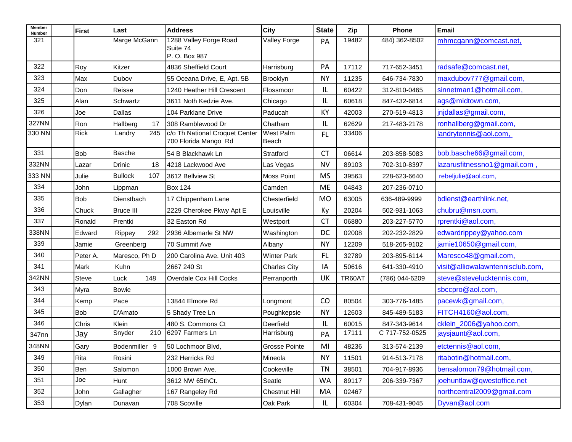| <b>Member</b><br>Number | <b>First</b> | Last                  | <b>Address</b>                                         | City                      | <b>State</b> | Zip    | Phone          | Email                            |
|-------------------------|--------------|-----------------------|--------------------------------------------------------|---------------------------|--------------|--------|----------------|----------------------------------|
| 321                     |              | Marge McGann          | 1288 Valley Forge Road<br>Suite 74                     | <b>Valley Forge</b>       | PA           | 19482  | 484) 362-8502  | mhmcgann@comcast.net,            |
|                         |              |                       | P.O. Box 987                                           |                           |              |        |                |                                  |
| 322                     | Roy          | Kitzer                | 4836 Sheffield Court                                   | Harrisburg                | PA           | 17112  | 717-652-3451   | radsafe@comcast.net,             |
| 323                     | Max          | Dubov                 | 55 Oceana Drive, E, Apt. 5B                            | Brooklyn                  | <b>NY</b>    | 11235  | 646-734-7830   | maxdubov777@gmail.com,           |
| 324                     | Don          | Reisse                | 1240 Heather Hill Crescent                             | Flossmoor                 | IL.          | 60422  | 312-810-0465   | sinnetman1@hotmail.com,          |
| 325                     | Alan         | Schwartz              | 3611 Noth Kedzie Ave.                                  | Chicago                   | IL.          | 60618  | 847-432-6814   | ags@midtown.com,                 |
| 326                     | Joe          | Dallas                | 104 Parklane Drive                                     | Paducah                   | KY           | 42003  | 270-519-4813   | jnjdallas@gmail.com,             |
| 327NN                   | Ron          | Hallberg<br>17        | 308 Ramblewood Dr                                      | Chatham                   | IL           | 62629  | 217-483-2178   | ronhallberg@gmail.com,           |
| 330 NN                  | <b>Rick</b>  | Landry<br>245         | c/o Th National Croquet Center<br>700 Florida Mango Rd | <b>West Palm</b><br>Beach | FL.          | 33406  |                | landrytennis@aol.com,            |
| 331                     | <b>Bob</b>   | <b>Basche</b>         | 54 B Blackhawk Ln                                      | Stratford                 | <b>CT</b>    | 06614  | 203-858-5083   | bob.basche66@gmail.com,          |
| 332NN                   | Lazar        | <b>Drinic</b><br>18   | 4218 Lackwood Ave                                      | Las Vegas                 | <b>NV</b>    | 89103  | 702-310-8397   | lazarusfitnessno1@gmail.com,     |
| 333 NN                  | Julie        | 107<br><b>Bullock</b> | 3612 Bellview St                                       | <b>Moss Point</b>         | <b>MS</b>    | 39563  | 228-623-6640   | rebeljulie@aol.com,              |
| 334                     | John         | Lippman               | <b>Box 124</b>                                         | Camden                    | <b>ME</b>    | 04843  | 207-236-0710   |                                  |
| 335                     | Bob          | Dienstbach            | 17 Chippenham Lane                                     | Chesterfield              | <b>MO</b>    | 63005  | 636-489-9999   | bdienst@earthlink.net,           |
| 336                     | Chuck        | <b>Bruce III</b>      | 2229 Cherokee Pkwy Apt E                               | Louisville                | Ky           | 20204  | 502-931-1063   | chubru@msn.com,                  |
| 337                     | Ronald       | Prentki               | 32 Easton Rd                                           | Westport                  | <b>CT</b>    | 06880  | 203-227-5770   | rprentki@aol.com,                |
| 338NN                   | Edward       | Rippey<br>292         | 2936 Albemarle St NW                                   | Washington                | DC           | 02008  | 202-232-2829   | edwardrippey@yahoo.com           |
| 339                     | Jamie        | Greenberg             | 70 Summit Ave                                          | Albany                    | <b>NY</b>    | 12209  | 518-265-9102   | jamie10650@gmail.com,            |
| 340                     | Peter A.     | Maresco, Ph D         | 200 Carolina Ave. Unit 403                             | <b>Winter Park</b>        | FL.          | 32789  | 203-895-6114   | Maresco48@gmail.com,             |
| 341                     | Mark         | Kuhn                  | 2667 240 St                                            | <b>Charles City</b>       | IA           | 50616  | 641-330-4910   | visit@alliowalawntennisclub.com, |
| 342NN                   | Steve        | 148<br>Luck           | Overdale Cox Hill Cocks                                | Perranporth               | UK           | TR60AT | (786) 044-6209 | steve@stevelucktennis.com,       |
| 343                     | Myra         | <b>Bowie</b>          |                                                        |                           |              |        |                | sbccpro@aol.com,                 |
| 344                     | Kemp         | Pace                  | 13844 Elmore Rd                                        | Longmont                  | CO           | 80504  | 303-776-1485   | pacewk@gmail.com,                |
| 345                     | Bob          | D'Amato               | 5 Shady Tree Ln                                        | Poughkepsie               | <b>NY</b>    | 12603  | 845-489-5183   | FITCH4160@aol.com,               |
| 346                     | Chris        | Klein                 | 480 S. Commons Ct                                      | Deerfield                 | IL.          | 60015  | 847-343-9614   | cklein_2006@yahoo.com,           |
| 347nn                   | Jay          | Snyder<br>210         | 6297 Farmers Ln                                        | Harrisburg                | PA           | 17111  | C 717-752-0525 | jaysjaunt@aol.com,               |
| 348NN                   | Gary         | Bodenmiller 9         | 50 Lochmoor Blvd,                                      | <b>Grosse Pointe</b>      | MI           | 48236  | 313-574-2139   | etctennis@aol.com,               |
| 349                     | Rita         | Rosini                | 232 Herricks Rd                                        | Mineola                   | <b>NY</b>    | 11501  | 914-513-7178   | ritabotin@hotmail.com,           |
| 350                     | Ben          | Salomon               | 1000 Brown Ave.                                        | Cookeville                | TN           | 38501  | 704-917-8936   | bensalomon79@hotmail.com,        |
| 351                     | Joe          | Hunt                  | 3612 NW 65thCt.                                        | Seatle                    | <b>WA</b>    | 89117  | 206-339-7367   | joehuntlaw@qwestoffice.net       |
| 352                     | John         | Gallagher             | 167 Rangeley Rd                                        | <b>Chestnut Hill</b>      | MA           | 02467  |                | northcentral2009@gmail.com       |
| 353                     | Dylan        | Dunavan               | 708 Scoville                                           | Oak Park                  | IL           | 60304  | 708-431-9045   | Dyvan@aol.com                    |